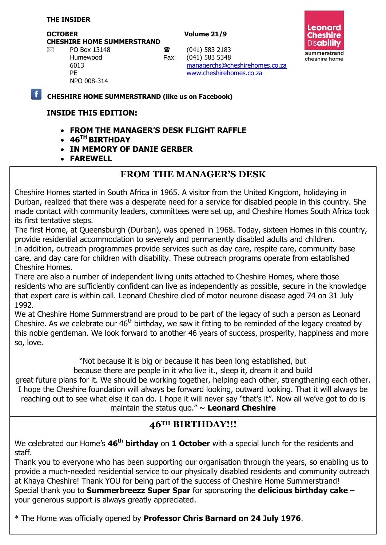#### **THE INSIDER**

**OCTOBER Volume 21/9 CHESHIRE HOME SUMMERSTRAND**

NPO 008-314



 $\boxtimes$  PO Box 13148 **a** (041) 583 2183

Humewood Fax: (041) 583 5348 6013 [managerchs@cheshirehomes.co.za](mailto:managerchs@cheshirehomes.co.za) PE [www.cheshirehomes.co.za](http://www.cheshirehomes.co.za/)

**CHESHIRE HOME SUMMERSTRAND (like us on Facebook)**

### **INSIDE THIS EDITION:**

- **FROM THE MANAGER'S DESK FLIGHT RAFFLE**
- **46TH BIRTHDAY**
- **IN MEMORY OF DANIE GERBER**
- **FAREWELL**

## **FROM THE MANAGER'S DESK**

Cheshire Homes started in South Africa in 1965. A visitor from the United Kingdom, holidaying in Durban, realized that there was a desperate need for a service for disabled people in this country. She made contact with community leaders, committees were set up, and Cheshire Homes South Africa took its first tentative steps.

The first Home, at Queensburgh (Durban), was opened in 1968. Today, sixteen Homes in this country, provide residential accommodation to severely and permanently disabled adults and children. In addition, outreach programmes provide services such as day care, respite care, community base care, and day care for children with disability. These outreach programs operate from established Cheshire Homes.

There are also a number of independent living units attached to Cheshire Homes, where those residents who are sufficiently confident can live as independently as possible, secure in the knowledge that expert care is within call. Leonard Cheshire died of motor neurone disease aged 74 on 31 July 1992.

We at Cheshire Home Summerstrand are proud to be part of the legacy of such a person as Leonard Cheshire. As we celebrate our  $46<sup>th</sup>$  birthday, we saw it fitting to be reminded of the legacy created by this noble gentleman. We look forward to another 46 years of success, prosperity, happiness and more so, love.

"Not because it is big or because it has been long established, but

because there are people in it who live it., sleep it, dream it and build

great future plans for it. We should be working together, helping each other, strengthening each other. I hope the Cheshire foundation will always be forward looking, outward looking. That it will always be reaching out to see what else it can do. I hope it will never say "that's it". Now all we've got to do is maintain the status quo." ~ **Leonard Cheshire**

# **46TH BIRTHDAY!!!**

We celebrated our Home's **46th birthday** on **1 October** with a special lunch for the residents and staff.

Thank you to everyone who has been supporting our organisation through the years, so enabling us to provide a much-needed residential service to our physically disabled residents and community outreach at Khaya Cheshire! Thank YOU for being part of the success of Cheshire Home Summerstrand! Special thank you to **Summerbreezz Super Spar** for sponsoring the **delicious birthday cake** – your generous support is always greatly appreciated.

\* The Home was officially opened by **Professor Chris Barnard on 24 July 1976**.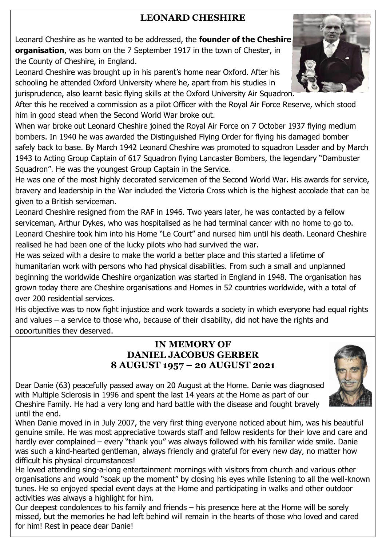# **LEONARD CHESHIRE**

Leonard Cheshire as he wanted to be addressed, the **founder of the Cheshire organisation**, was born on the 7 September 1917 in the town of Chester, in the County of Cheshire, in England.

Leonard Cheshire was brought up in his parent's home near Oxford. After his schooling he attended Oxford University where he, apart from his studies in jurisprudence, also learnt basic flying skills at the Oxford University Air Squadron.

After this he received a commission as a pilot Officer with the Royal Air Force Reserve, which stood him in good stead when the Second World War broke out.

When war broke out Leonard Cheshire joined the Royal Air Force on 7 October 1937 flying medium bombers. In 1940 he was awarded the Distinguished Flying Order for flying his damaged bomber safely back to base. By March 1942 Leonard Cheshire was promoted to squadron Leader and by March 1943 to Acting Group Captain of 617 Squadron flying Lancaster Bombers, the legendary "Dambuster Squadron". He was the youngest Group Captain in the Service.

He was one of the most highly decorated servicemen of the Second World War. His awards for service, bravery and leadership in the War included the Victoria Cross which is the highest accolade that can be given to a British serviceman.

Leonard Cheshire resigned from the RAF in 1946. Two years later, he was contacted by a fellow serviceman, Arthur Dykes, who was hospitalised as he had terminal cancer with no home to go to. Leonard Cheshire took him into his Home "Le Court" and nursed him until his death. Leonard Cheshire realised he had been one of the lucky pilots who had survived the war.

He was seized with a desire to make the world a better place and this started a lifetime of humanitarian work with persons who had physical disabilities. From such a small and unplanned beginning the worldwide Cheshire organization was started in England in 1948. The organisation has grown today there are Cheshire organisations and Homes in 52 countries worldwide, with a total of over 200 residential services.

His objective was to now fight injustice and work towards a society in which everyone had equal rights and values – a service to those who, because of their disability, did not have the rights and opportunities they deserved.

## **IN MEMORY OF DANIEL JACOBUS GERBER 8 AUGUST 1957 – 20 AUGUST 2021**



Dear Danie (63) peacefully passed away on 20 August at the Home. Danie was diagnosed with Multiple Sclerosis in 1996 and spent the last 14 years at the Home as part of our Cheshire Family. He had a very long and hard battle with the disease and fought bravely until the end.

When Danie moved in in July 2007, the very first thing everyone noticed about him, was his beautiful genuine smile. He was most appreciative towards staff and fellow residents for their love and care and hardly ever complained – every "thank you" was always followed with his familiar wide smile. Danie was such a kind-hearted gentleman, always friendly and grateful for every new day, no matter how difficult his physical circumstances!

He loved attending sing-a-long entertainment mornings with visitors from church and various other organisations and would "soak up the moment" by closing his eyes while listening to all the well-known tunes. He so enjoyed special event days at the Home and participating in walks and other outdoor activities was always a highlight for him.

Our deepest condolences to his family and friends – his presence here at the Home will be sorely missed, but the memories he had left behind will remain in the hearts of those who loved and cared for him! Rest in peace dear Danie!

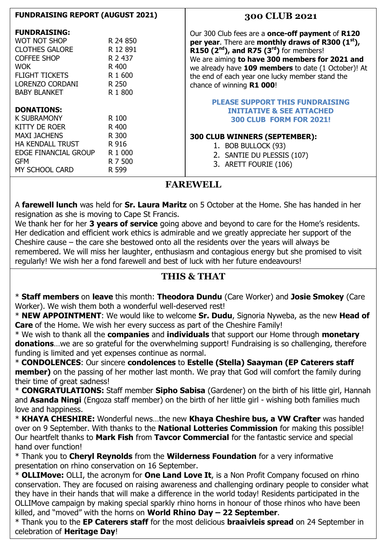| <b>FUNDRAISING REPORT (AUGUST 2021)</b>                                                                                                                                    |                                                                         | 300 CLUB 2021                                                                                                                                                                                                                                                                                                                                |
|----------------------------------------------------------------------------------------------------------------------------------------------------------------------------|-------------------------------------------------------------------------|----------------------------------------------------------------------------------------------------------------------------------------------------------------------------------------------------------------------------------------------------------------------------------------------------------------------------------------------|
| <b>FUNDRAISING:</b><br><b>WOT NOT SHOP</b><br><b>CLOTHES GALORE</b><br><b>COFFEE SHOP</b><br><b>WOK</b><br><b>FLIGHT TICKETS</b><br>LORENZO CORDANI<br><b>BABY BLANKET</b> | R 24 850<br>R 12 891<br>R 2 437<br>R 400<br>R 1 600<br>R 250<br>R 1 800 | Our 300 Club fees are a once-off payment of R120<br>per year. There are monthly draws of R300 (1st),<br>R150 $(2nd)$ , and R75 $(3rd)$ for members!<br>We are aiming to have 300 members for 2021 and<br>we already have 109 members to date (1 October)! At<br>the end of each year one lucky member stand the<br>chance of winning R1 000! |
| <b>DONATIONS:</b><br><b>K SUBRAMONY</b><br>KITTY DE ROER<br><b>MAXI JACHENS</b><br><b>HA KENDALL TRUST</b><br>EDGE FINANCIAL GROUP<br><b>GFM</b><br><b>MY SCHOOL CARD</b>  | R 100<br>R 400<br>R 300<br>R 916<br>R 1 000<br>R 7 500<br>R 599         | <b>PLEASE SUPPORT THIS FUNDRAISING</b><br><b>INITIATIVE &amp; SEE ATTACHED</b><br><b>300 CLUB FORM FOR 2021!</b><br>300 CLUB WINNERS (SEPTEMBER):<br>1. BOB BULLOCK (93)<br>2. SANTIE DU PLESSIS (107)<br>3. ARETT FOURIE (106)                                                                                                              |

# **FAREWELL**

A **farewell lunch** was held for **Sr. Laura Maritz** on 5 October at the Home. She has handed in her resignation as she is moving to Cape St Francis.

We thank her for her **3 years of service** going above and beyond to care for the Home's residents. Her dedication and efficient work ethics is admirable and we greatly appreciate her support of the Cheshire cause – the care she bestowed onto all the residents over the years will always be remembered. We will miss her laughter, enthusiasm and contagious energy but she promised to visit regularly! We wish her a fond farewell and best of luck with her future endeavours!

# **THIS & THAT**

\* **Staff members** on **leave** this month: **Theodora Dundu** (Care Worker) and **Josie Smokey** (Care Worker). We wish them both a wonderful well-deserved rest!

\* **NEW APPOINTMENT**: We would like to welcome **Sr. Dudu**, Signoria Nyweba, as the new **Head of Care** of the Home. We wish her every success as part of the Cheshire Family!

\* We wish to thank all the **companies** and **individuals** that support our Home through **monetary donations**…we are so grateful for the overwhelming support! Fundraising is so challenging, therefore funding is limited and yet expenses continue as normal.

\* **CONDOLENCES**: Our sincere **condolences** to **Estelle (Stella) Saayman (EP Caterers staff member)** on the passing of her mother last month. We pray that God will comfort the family during their time of great sadness!

\* **CONGRATULATIONS:** Staff member **Sipho Sabisa** (Gardener) on the birth of his little girl, Hannah and **Asanda Ningi** (Engoza staff member) on the birth of her little girl - wishing both families much love and happiness.

\* **KHAYA CHESHIRE:** Wonderful news…the new **Khaya Cheshire bus, a VW Crafter** was handed over on 9 September. With thanks to the **National Lotteries Commission** for making this possible! Our heartfelt thanks to **Mark Fish** from **Tavcor Commercial** for the fantastic service and special hand over function!

\* Thank you to **Cheryl Reynolds** from the **Wilderness Foundation** for a very informative presentation on rhino conservation on 16 September.

\* **OLLIMove:** OLLI, the acronym for **One Land Love It**, is a Non Profit Company focused on rhino conservation. They are focused on raising awareness and challenging ordinary people to consider what they have in their hands that will make a difference in the world today! Residents participated in the OLLIMove campaign by making special sparkly rhino horns in honour of those rhinos who have been killed, and "moved" with the horns on **World Rhino Day – 22 September**.

\* Thank you to the **EP Caterers staff** for the most delicious **braaivleis spread** on 24 September in celebration of **Heritage Day**!